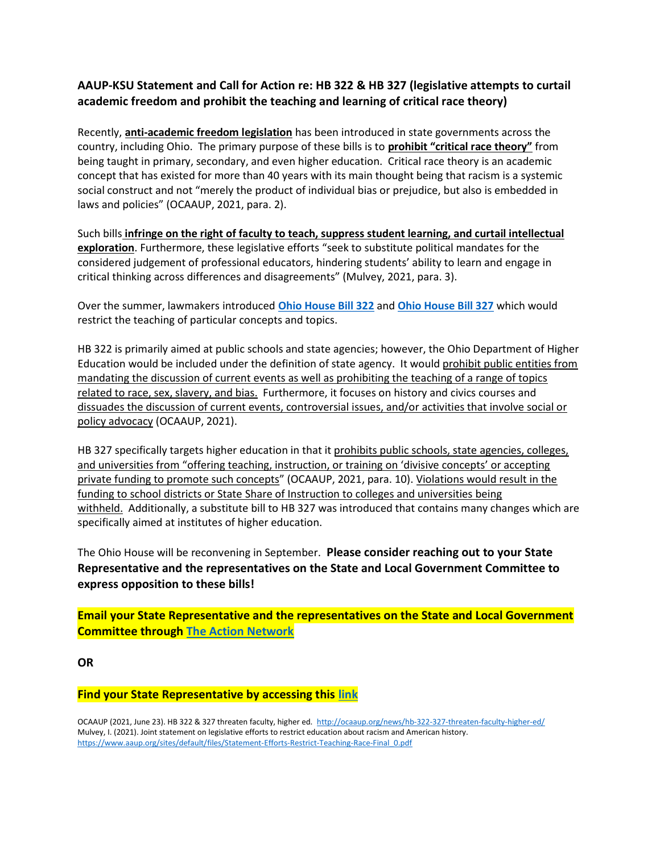## AAUP-KSU Statement and Call for Action re: HB 322 & HB 327 (legislative attempts to curtail academic freedom and prohibit the teaching and learning of critical race theory)

Recently, anti-academic freedom legislation has been introduced in state governments across the country, including Ohio. The primary purpose of these bills is to **prohibit "critical race theory"** from being taught in primary, secondary, and even higher education. Critical race theory is an academic concept that has existed for more than 40 years with its main thought being that racism is a systemic social construct and not "merely the product of individual bias or prejudice, but also is embedded in laws and policies" (OCAAUP, 2021, para. 2).

Such bills infringe on the right of faculty to teach, suppress student learning, and curtail intellectual exploration. Furthermore, these legislative efforts "seek to substitute political mandates for the considered judgement of professional educators, hindering students' ability to learn and engage in critical thinking across differences and disagreements" (Mulvey, 2021, para. 3).

Over the summer, lawmakers introduced Ohio House Bill 322 and Ohio House Bill 327 which would restrict the teaching of particular concepts and topics.

HB 322 is primarily aimed at public schools and state agencies; however, the Ohio Department of Higher Education would be included under the definition of state agency. It would prohibit public entities from mandating the discussion of current events as well as prohibiting the teaching of a range of topics related to race, sex, slavery, and bias. Furthermore, it focuses on history and civics courses and dissuades the discussion of current events, controversial issues, and/or activities that involve social or policy advocacy (OCAAUP, 2021).

HB 327 specifically targets higher education in that it prohibits public schools, state agencies, colleges, and universities from "offering teaching, instruction, or training on 'divisive concepts' or accepting private funding to promote such concepts" (OCAAUP, 2021, para. 10). Violations would result in the funding to school districts or State Share of Instruction to colleges and universities being withheld. Additionally, a substitute bill to HB 327 was introduced that contains many changes which are specifically aimed at institutes of higher education.

The Ohio House will be reconvening in September. Please consider reaching out to your State Representative and the representatives on the State and Local Government Committee to express opposition to these bills!

Email your State Representative and the representatives on the State and Local Government Committee through The Action Network

**OR** 

## Find your State Representative by accessing this link

OCAAUP (2021, June 23). HB 322 & 327 threaten faculty, higher ed. http://ocaaup.org/news/hb-322-327-threaten-faculty-higher-ed/ Mulvey, I. (2021). Joint statement on legislative efforts to restrict education about racism and American history. https://www.aaup.org/sites/default/files/Statement-Efforts-Restrict-Teaching-Race-Final\_0.pdf